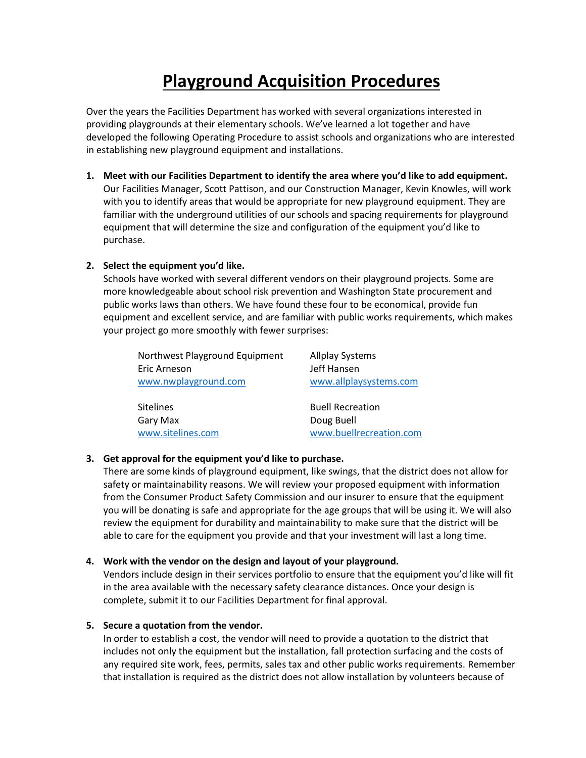# **Playground Acquisition Procedures**

Over the years the Facilities Department has worked with several organizations interested in providing playgrounds at their elementary schools. We've learned a lot together and have developed the following Operating Procedure to assist schools and organizations who are interested in establishing new playground equipment and installations.

**1. Meet with our Facilities Department to identify the area where you'd like to add equipment.** Our Facilities Manager, Scott Pattison, and our Construction Manager, Kevin Knowles, will work with you to identify areas that would be appropriate for new playground equipment. They are familiar with the underground utilities of our schools and spacing requirements for playground equipment that will determine the size and configuration of the equipment you'd like to purchase.

## **2. Select the equipment you'd like.**

Schools have worked with several different vendors on their playground projects. Some are more knowledgeable about school risk prevention and Washington State procurement and public works laws than others. We have found these four to be economical, provide fun equipment and excellent service, and are familiar with public works requirements, which makes your project go more smoothly with fewer surprises:

| Northwest Playground Equipment | <b>Allplay Systems</b>  |
|--------------------------------|-------------------------|
| Eric Arneson                   | Jeff Hansen             |
| www.nwplayground.com           | www.allplaysystems.com  |
|                                |                         |
| <b>Sitelines</b>               | <b>Buell Recreation</b> |
| Gary Max                       | Doug Buell              |
| www.sitelines.com              | www.buellrecreation.com |

### **3. Get approval for the equipment you'd like to purchase.**

There are some kinds of playground equipment, like swings, that the district does not allow for safety or maintainability reasons. We will review your proposed equipment with information from the Consumer Product Safety Commission and our insurer to ensure that the equipment you will be donating is safe and appropriate for the age groups that will be using it. We will also review the equipment for durability and maintainability to make sure that the district will be able to care for the equipment you provide and that your investment will last a long time.

# **4. Work with the vendor on the design and layout of your playground.**

Vendors include design in their services portfolio to ensure that the equipment you'd like will fit in the area available with the necessary safety clearance distances. Once your design is complete, submit it to our Facilities Department for final approval.

### **5. Secure a quotation from the vendor.**

In order to establish a cost, the vendor will need to provide a quotation to the district that includes not only the equipment but the installation, fall protection surfacing and the costs of any required site work, fees, permits, sales tax and other public works requirements. Remember that installation is required as the district does not allow installation by volunteers because of